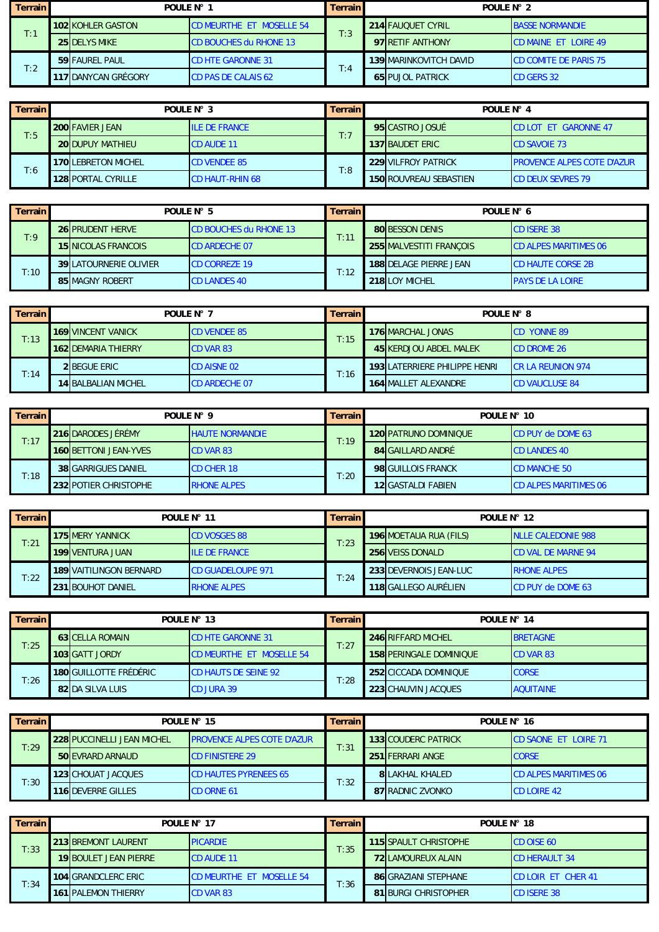| <b>Terrain</b> | POULF $N^{\circ}$ 1      |                                 | Terrain l | POULF $N^{\circ}$ 2 |                               |                              |  |
|----------------|--------------------------|---------------------------------|-----------|---------------------|-------------------------------|------------------------------|--|
| T:1            | <b>102 KOHLER GASTON</b> | <b>CD MEURTHE ET MOSELLE 54</b> | T:3       |                     | 214 FAUQUET CYRIL             | <b>BASSE NORMANDIE</b>       |  |
|                | <b>25 DELYS MIKE</b>     | <b>CD BOUCHES du RHONE 13</b>   |           |                     | 97 RETIF ANTHONY              | <b>CD MAINE ET LOIRE 49</b>  |  |
| T:2            | 59 FAUREL PAUL           | <b>CD HTE GARONNE 31</b>        | T:4       |                     | <b>139 MARINKOVITCH DAVID</b> | <b>CD COMITE DE PARIS 75</b> |  |
|                | 117 DANYCAN GRÉGORY      | <b>CD PAS DE CALAIS 62</b>      |           |                     | <b>65 PUJOL PATRICK</b>       | <b>CD GERS 32</b>            |  |

| <b>Terrain</b> | POULE N° 3 |                                                     | <b>Terrain</b>       | POULF $N^{\circ}$ 4 |  |                               |                                   |
|----------------|------------|-----------------------------------------------------|----------------------|---------------------|--|-------------------------------|-----------------------------------|
| T:5            |            | <b>200 FAVIER JEAN</b>                              | <b>ILE DE FRANCE</b> | T:7                 |  | 95 CASTRO JOSUÉ               | <b>CD LOT ET GARONNE 47</b>       |
|                |            | <b>20 DUPUY MATHIEU</b>                             | <b>CD AUDE 11</b>    |                     |  | <b>137 BAUDET ERIC</b>        | <b>CD SAVOIE 73</b>               |
|                |            | <b>170ILEBRETON MICHEL</b>                          | <b>CD VENDEE 85</b>  | T:8                 |  | 229 VILFROY PATRICK           | <b>PROVENCE ALPES COTE D'AZUR</b> |
| T:6            |            | <b>128 PORTAL CYRILLE</b><br><b>CD HAUT-RHIN 68</b> |                      |                     |  | <b>150 ROUVREAU SEBASTIEN</b> | <b>CD DEUX SEVRES 79</b>          |

| Terrain | POULE N° 5                    |                               | <b>Terrain</b> | POULE N° 6                    |                              |  |
|---------|-------------------------------|-------------------------------|----------------|-------------------------------|------------------------------|--|
| T:9     | <b>26 PRUDENT HERVE</b>       | <b>CD BOUCHES du RHONE 13</b> | T:11           | <b>80 BESSON DENIS</b>        | <b>ICD ISERE 38</b>          |  |
|         | <b>15 NICOLAS FRANCOIS</b>    | <b>CD ARDECHE 07</b>          |                | 255 MALVESTITI FRANCOIS       | <b>CD ALPES MARITIMES 06</b> |  |
| T:10    | <b>39ILATOURNERIE OLIVIER</b> | <b>CD CORREZE 19</b>          |                | <b>188IDELAGE PIERRE JEAN</b> | <b>CD HAUTE CORSE 2B</b>     |  |
|         | <b>85 MAGNY ROBERT</b>        | <b>CD LANDES 40</b>           | T:12           | 218 LOY MICHEL                | <b>PAYS DE LA LOIRE</b>      |  |

| <b>Terrain</b> | POULE N° 7                                         |                     | <b>Terrain</b>         | POULE N° 8         |                                      |                          |  |
|----------------|----------------------------------------------------|---------------------|------------------------|--------------------|--------------------------------------|--------------------------|--|
| T:13           | <b>169 VINCENT VANICK</b>                          | <b>CD VENDEE 85</b> | T:15                   |                    | 176 MARCHAL JONAS                    | <b>CD YONNE 89</b>       |  |
|                | <b>162 DEMARIA THIERRY</b><br><b>ICD VAR 83</b>    |                     | 45 KERDJOU ABDEL MALEK | <b>CD DROME 26</b> |                                      |                          |  |
| T:14           | <b>2 BEGUE ERIC</b>                                | <b>CD AISNE 02</b>  | T:16                   |                    | <b>193 LATERRIERE PHILIPPE HENRI</b> | <b>CR LA REUNION 974</b> |  |
|                | <b>14 BALBALIAN MICHEL</b><br><b>CD ARDECHE 07</b> |                     |                        |                    | <b>164 MALLET ALEXANDRE</b>          | <b>CD VAUCLUSE 84</b>    |  |

| <b>Terrain</b> | POULE N° 9                   |                        | <b>Terrain</b> | POULE N° 10 |                              |                              |  |
|----------------|------------------------------|------------------------|----------------|-------------|------------------------------|------------------------------|--|
| T:17           | <b>216 DARODES JÉRÉMY</b>    | <b>HAUTE NORMANDIE</b> | T:19           |             | <b>120 PATRUNO DOMINIOUE</b> | <b>CD PUY de DOME 63</b>     |  |
|                | <b>160 BETTONI JEAN-YVES</b> | <b>ICD VAR 83</b>      |                |             | 84 GAILLARD ANDRÉ            | <b>CD LANDES 40</b>          |  |
| T:18           | <b>38 GARRIGUES DANIEL</b>   | <b>CD CHER 18</b>      | T:20           |             | 98 GUILLOIS FRANCK           | <b>CD MANCHE 50</b>          |  |
|                | 232 POTIER CHRISTOPHE        | <b>RHONE ALPES</b>     |                |             | <b>12 IGASTALDI FABIEN</b>   | <b>CD ALPES MARITIMES 06</b> |  |

| Terrain | POULE $N^{\circ}$ 11                            |                         | <b>Terrain</b>           | POULE N° 12          |                   |                        |                            |
|---------|-------------------------------------------------|-------------------------|--------------------------|----------------------|-------------------|------------------------|----------------------------|
| T:21    |                                                 | <b>175 MERY YANNICK</b> | <b>CD VOSGES 88</b>      | T:23                 |                   | 196 MOETAUA RUA (FILS) | <b>INLLE CALEDONIE 988</b> |
|         |                                                 | <b>199 VENTURA JUAN</b> | <b>ILE DE FRANCE</b>     |                      |                   | 256 VEISS DONALD       | <b>CD VAL DE MARNE 94</b>  |
| T:22    |                                                 | 189 VAITILINGON BERNARD | <b>CD GUADELOUPE 971</b> |                      |                   | 233 DEVERNOIS JEAN-LUC | <b>RHONE ALPES</b>         |
|         | T:24<br>231 BOUHOT DANIEL<br><b>RHONE ALPES</b> |                         |                          | 118 GALLEGO AURÉLIEN | CD PUY de DOME 63 |                        |                            |

| <b>Terrain</b> | POULE N° 13                   |                                 | <b>Terrain</b> | POULE N° 14 |                         |                  |  |
|----------------|-------------------------------|---------------------------------|----------------|-------------|-------------------------|------------------|--|
| T:25           | <b>63 CELLA ROMAIN</b>        | <b>CD HTE GARONNE 31</b>        | T:27           |             | 246 RIFFARD MICHEL      | <b>BRETAGNE</b>  |  |
|                | <b>103 GATT JORDY</b>         | <b>CD MEURTHE ET MOSELLE 54</b> |                |             | 158 PERINGALE DOMINIQUE | <b>CD VAR 83</b> |  |
| T:26           | <b>180 GUILLOTTE FRÉDÉRIC</b> | <b>CD HAUTS DE SEINE 92</b>     |                |             | 252 CICCADA DOMINIOUE   | <b>CORSE</b>     |  |
|                | 82 DA SILVA LUIS              | <b>CD JURA 39</b>               | T:28           |             | 223 CHAUVIN JACQUES     | <b>AQUITAINE</b> |  |

| <b>Terrain</b> | POULE N° 15                |                                    | Terrain | POULE N° 16                |                               |  |  |
|----------------|----------------------------|------------------------------------|---------|----------------------------|-------------------------------|--|--|
| T:29           | 228 PUCCINELLI JEAN MICHEL | <b>IPROVENCE ALPES COTE D'AZUR</b> | T:31    | <b>133ICOUDERC PATRICK</b> | <b>ICD SAONE ET LOIRE 71</b>  |  |  |
|                | <b>50 EVRARD ARNAUD</b>    | <b>CD FINISTERE 29</b>             |         | 251 FERRARI ANGE           | <b>CORSE</b>                  |  |  |
|                | <b>123ICHOUAT JACQUES</b>  | <b>ICD HAUTES PYRENEES 65</b>      |         | <b>8ILAKHAL KHALED</b>     | <b>ICD ALPES MARITIMES 06</b> |  |  |
| T:30           | 116 DEVERRE GILLES         | CD ORNE 61                         | T:32    | 87 RADNIC ZVONKO           | <b>CD LOIRE 42</b>            |  |  |

| <b>Terrain</b> | POULE N° 17 |                              | Terrain l                       | POULE N° 18 |  |                             |                            |
|----------------|-------------|------------------------------|---------------------------------|-------------|--|-----------------------------|----------------------------|
| T:33           |             | <b>213 BREMONT LAURENT</b>   | <b>PICARDIE</b>                 | T:35        |  | 115 SPAULT CHRISTOPHE       | <b>CD OISE 60</b>          |
|                |             | <b>19 BOULET JEAN PIERRE</b> | <b>CD AUDE 11</b>               |             |  | <b>72 LAMOUREUX ALAIN</b>   | <b>ICD HERAULT 34</b>      |
|                |             | 104 GRANDCLERC ERIC          | <b>CD MEURTHE ET MOSELLE 54</b> | T:36        |  | <b>86 GRAZIANI STEPHANE</b> | <b>ICD LOIR ET CHER 41</b> |
| T:34           |             | <b>161IPALEMON THIERRY</b>   | <b>CD VAR 83</b>                |             |  | <b>81 BURGI CHRISTOPHER</b> | <b>CD ISERE 38</b>         |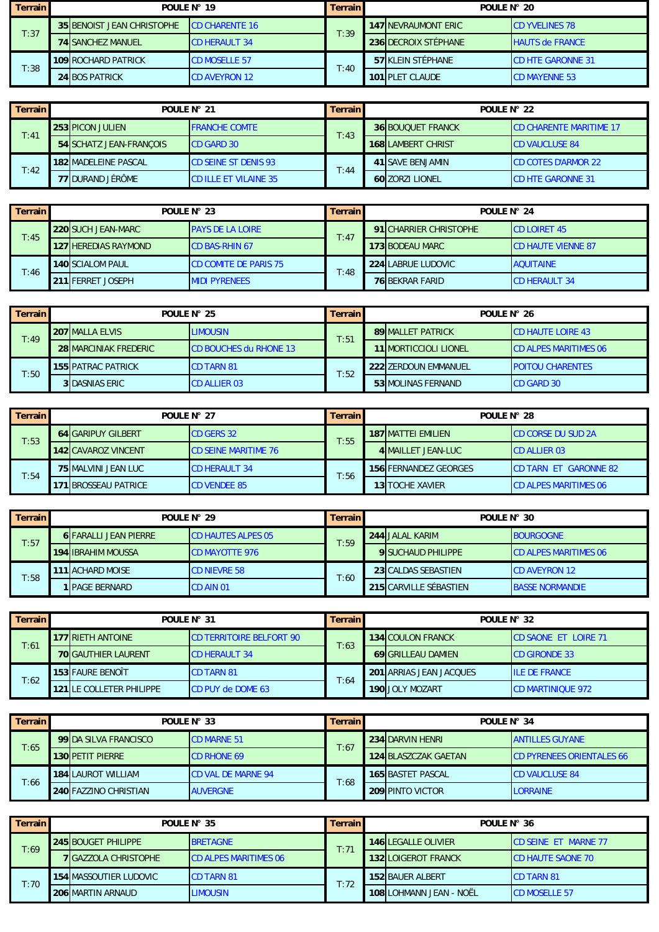| Terrain l | POULE $N^{\circ}$ 19              |                        | <b>Terrain</b> | POULE $N^{\circ}$ 20        |                          |  |
|-----------|-----------------------------------|------------------------|----------------|-----------------------------|--------------------------|--|
| T:37      | <b>35 BENOIST JEAN CHRISTOPHE</b> | <b>ICD CHARENTE 16</b> | T:39           | <b>147 INEVRAUMONT ERIC</b> | <b>CD YVELINES 78</b>    |  |
|           | <b>74 SANCHEZ MANUEL</b>          | <b>CD HERAULT 34</b>   |                | 236 DECROIX STÉPHANE        | <b>HAUTS de FRANCE</b>   |  |
| T:38      | <b>109 ROCHARD PATRICK</b>        | <b>CD MOSELLE 57</b>   | T:40           | 57 KLEIN STÉPHANE           | <b>CD HTE GARONNE 31</b> |  |
|           | <b>24 BOS PATRICK</b>             | <b>CD AVEYRON 12</b>   |                | 101 PLET CLAUDE             | <b>CD MAYENNE 53</b>     |  |

| Terrain | POULE N° 21                                             |                             | <b>Terrain</b> | POULE N° 22 |                           |                                |
|---------|---------------------------------------------------------|-----------------------------|----------------|-------------|---------------------------|--------------------------------|
| T:41    | <b>253 PICON JULIEN</b>                                 | <b>FRANCHE COMTE</b>        | T:43           |             | <b>36 BOUOUET FRANCK</b>  | <b>CD CHARENTE MARITIME 17</b> |
|         | 54 SCHATZ JEAN-FRANCOIS                                 | <b>ICD GARD 30</b>          |                |             | <b>168ILAMBERT CHRIST</b> | <b>CD VAUCLUSE 84</b>          |
| T:42    | <b>182 MADELEINE PASCAL</b>                             | <b>CD SEINE ST DENIS 93</b> | T:44           |             | 41 ISAVE BENJAMIN         | <b>CD COTES D'ARMOR 22</b>     |
|         | <b>77 DURAND JÉRÔME</b><br><b>CD ILLE ET VILAINE 35</b> |                             |                |             | 60 ZORZI LIONEL           | <b>CD HTE GARONNE 31</b>       |

| Terrain | POULE N° 23 |                             | <b>Terrain</b>               | POULE N° 24 |  |                        |                            |
|---------|-------------|-----------------------------|------------------------------|-------------|--|------------------------|----------------------------|
| T:45    |             | <b>220 SUCH JEAN-MARC</b>   | <b>PAYS DE LA LOIRE</b>      | T:47        |  | 91 CHARRIER CHRISTOPHE | <b>ICD LOIRET 45</b>       |
|         |             | <b>127 HEREDIAS RAYMOND</b> | <b>CD BAS-RHIN 67</b>        |             |  | <b>173 BODEAU MARC</b> | <b>ICD HAUTE VIENNE 87</b> |
|         |             | <b>140 SCIALOM PAUL</b>     | <b>CD COMITE DE PARIS 75</b> | T:48        |  | 224 LABRUE LUDOVIC     | <b>AQUITAINE</b>           |
| T:46    |             | 211 FERRET JOSEPH           | <b>MIDI PYRENEES</b>         |             |  | <b>76 BEKRAR FARID</b> | <b>CD HERAULT 34</b>       |

| <b>Terrain</b> | POULE N° 25 |                              | <b>Terrain</b>                | POULE N° 26 |                               |                              |  |
|----------------|-------------|------------------------------|-------------------------------|-------------|-------------------------------|------------------------------|--|
| T:49           |             | <b>207 MALLA ELVIS</b>       | <b>LIMOUSIN</b>               | T:51        | <b>89 MALLET PATRICK</b>      | <b>CD HAUTE LOIRE 43</b>     |  |
|                |             | <b>28 MARCINIAK FREDERIC</b> | <b>CD BOUCHES du RHONE 13</b> |             | <b>11 IMORTICCIOLI LIONEL</b> | <b>CD ALPES MARITIMES 06</b> |  |
|                |             | <b>155 PATRAC PATRICK</b>    | <b>CD TARN 81</b>             | T:52        | 222 ZERDOUN EMMANUEL          | <b>POITOU CHARENTES</b>      |  |
| T:50           |             | <b>3 DASNIAS ERIC</b>        | <b>CD ALLIER 03</b>           |             | 53 MOLINAS FERNAND            | <b>CD GARD 30</b>            |  |

| <b>Terrain</b> | POULE N° 27                |                             | <b>Terrain</b> | POULE N° 28               |                              |  |
|----------------|----------------------------|-----------------------------|----------------|---------------------------|------------------------------|--|
| T:53           | <b>64 GARIPUY GILBERT</b>  | <b>CD GERS 32</b>           | T:55           | <b>187 MATTEI EMILIEN</b> | <b>CD CORSE DU SUD 2A</b>    |  |
|                | 142 CAVAROZ VINCENT        | <b>CD SEINE MARITIME 76</b> |                | 4 MAILLET JEAN-LUC        | <b>CD ALLIER 03</b>          |  |
|                | <b>75 MALVINI JEAN LUC</b> | <b>CD HERAULT 34</b>        | T:56           | 156 FERNANDEZ GEORGES     | CD TARN ET GARONNE 82        |  |
| T:54           | <b>71 BROSSEAU PATRICE</b> | <b>CD VENDEE 85</b>         |                | <b>13 TOCHE XAVIER</b>    | <b>CD ALPES MARITIMES 06</b> |  |

| Terrain | POULE N° 29 |                              | <b>Terrain</b>            | POULE N° 30 |                           |                              |
|---------|-------------|------------------------------|---------------------------|-------------|---------------------------|------------------------------|
|         |             | <b>6 FARALLI JEAN PIERRE</b> | <b>CD HAUTES ALPES 05</b> | T:59        | 244 JALAL KARIM           | <b>BOURGOGNE</b>             |
| T:57    |             | <b>194 IBRAHIM MOUSSA</b>    | <b>CD MAYOTTE 976</b>     |             | <b>9 SUCHAUD PHILIPPE</b> | <b>CD ALPES MARITIMES 06</b> |
| T:58    |             | <b>111 ACHARD MOISE</b>      | <b>CD NIEVRE 58</b>       | T:60        | 23 CALDAS SEBASTIEN       | <b>CD AVEYRON 12</b>         |
|         |             | 1 IPAGE BERNARD              | <b>CD AIN 01</b>          |             | 215 CARVILLE SÉBASTIEN    | <b>BASSE NORMANDIE</b>       |

| Terrain | POULE N° 31                     |                                 | <b>Terrain</b> | POULE N° 32                    |                             |  |
|---------|---------------------------------|---------------------------------|----------------|--------------------------------|-----------------------------|--|
| T:61    | <b>177 RIETH ANTOINE</b>        | <b>CD TERRITOIRE BELFORT 90</b> | T:63           | <b>134 COULON FRANCK</b>       | <b>CD SAONE ET LOIRE 71</b> |  |
|         | <b>70 GAUTHIER LAURENT</b>      | <b>CD HERAULT 34</b>            |                | <b>69 GRILLEAU DAMIEN</b>      | <b>CD GIRONDE 33</b>        |  |
|         | 153 FAURE BENOÎT                | <b>CD TARN 81</b>               | T:64           | <b>201 ARRIAS JEAN JACQUES</b> | <b>ILE DE FRANCE</b>        |  |
| T:62    | <b>121 LE COLLETER PHILIPPE</b> | <b>CD PUY de DOME 63</b>        |                | 190 JOLY MOZART                | <b>CD MARTINIOUE 972</b>    |  |

| Terrain | POULE N° 33                  |                           | <b>Terrain</b> | POULE N° 34              |                                  |  |  |
|---------|------------------------------|---------------------------|----------------|--------------------------|----------------------------------|--|--|
| T:65    | 99 DA SILVA FRANCISCO        | <b>CD MARNE 51</b>        | T:67           | 234 DARVIN HENRI         | <b>ANTILLES GUYANE</b>           |  |  |
|         | <b>130 PETIT PIERRE</b>      | <b>CD RHONE 69</b>        |                | 124 BLASZCZAK GAETAN     | <b>CD PYRENEES ORIENTALES 66</b> |  |  |
|         | <b>184 LAUROT WILLIAM</b>    | <b>CD VAL DE MARNE 94</b> | T:68           | <b>165 BASTET PASCAL</b> | <b>CD VAUCLUSE 84</b>            |  |  |
| T:66    | <b>240 FAZZINO CHRISTIAN</b> | <b>AUVERGNE</b>           |                | 209 PINTO VICTOR         | <b>LORRAINE</b>                  |  |  |

| <b>Terrain</b> | POULE N° 35 |                               | Terrain                      | POULE N° 36 |  |                            |                              |
|----------------|-------------|-------------------------------|------------------------------|-------------|--|----------------------------|------------------------------|
| T:69           |             | <b>1245 BOUGET PHILIPPE</b>   | <b>BRETAGNE</b>              | T:71        |  | <b>146 LEGALLE OLIVIER</b> | <b>ICD SEINE ET MARNE 77</b> |
|                |             | <b>7 IGAZZOLA CHRISTOPHE</b>  | <b>CD ALPES MARITIMES 06</b> |             |  | <b>132 LOIGEROT FRANCK</b> | <b>CD HAUTE SAONE 70</b>     |
| T:70           |             | <b>154 MASSOUTIER LUDOVIC</b> | <b>CD TARN 81</b>            | T:72        |  | 152 BAUER ALBERT           | <b>CD TARN 81</b>            |
|                |             | <b>206 MARTIN ARNAUD</b>      | <b>LIMOUSIN</b>              |             |  | 108 LOHMANN JEAN - NOËL    | <b>CD MOSELLE 57</b>         |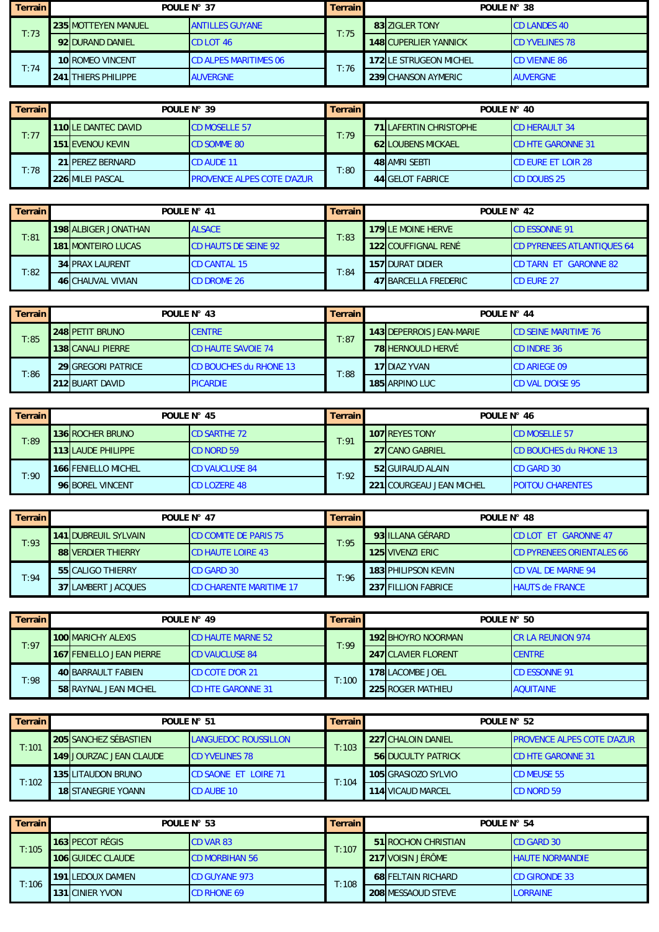| <b>Terrain</b> | POULE N° 37 |                            | <b>Terrain</b>               | POULE N° 38 |                              |                       |
|----------------|-------------|----------------------------|------------------------------|-------------|------------------------------|-----------------------|
| T:73           |             | <b>235 MOTTEYEN MANUEL</b> | <b>ANTILLES GUYANE</b>       | T:75        | 83 ZIGLER TONY               | <b>CD LANDES 40</b>   |
|                |             | 92 DURAND DANIEL           | <b>CD LOT 46</b>             |             | <b>148 CUPERLIER YANNICK</b> | <b>CD YVELINES 78</b> |
| T:74           |             | <b>10 ROMEO VINCENT</b>    | <b>CD ALPES MARITIMES 06</b> | T:76        | 172 LE STRUGEON MICHEL       | <b>CD VIENNE 86</b>   |
|                |             | <b>241 THIERS PHILIPPE</b> | <b>AUVERGNE</b>              |             | 239 CHANSON AYMERIC          | <b>AUVERGNE</b>       |

| Terrain | POULE N° 39 |                           | <b>Terrain</b>                    | POULE N° 40 |  |                               |                           |
|---------|-------------|---------------------------|-----------------------------------|-------------|--|-------------------------------|---------------------------|
| T:77    |             | <b>110LE DANTEC DAVID</b> | <b>CD MOSELLE 57</b>              | T:79        |  | <b>71 LAFERTIN CHRISTOPHE</b> | <b>CD HERAULT 34</b>      |
|         |             | <b>151 EVENOU KEVIN</b>   | <b>CD SOMME 80</b>                |             |  | <b>62 LOUBENS MICKAEL</b>     | <b>CD HTE GARONNE 31</b>  |
|         |             | 21 PEREZ BERNARD          | <b>CD AUDE 11</b>                 | T:80        |  | 48 AMRI SEBTI                 | <b>CD EURE ET LOIR 28</b> |
| T:78    |             | <b>226 MILEI PASCAL</b>   | <b>PROVENCE ALPES COTE D'AZUR</b> |             |  | 44 GELOT FABRICE              | <b>CD DOUBS 25</b>        |

| Terrain | POULE N° 41 |                             | <b>Terrain</b>              | POULE N° 42 |                           |                                   |
|---------|-------------|-----------------------------|-----------------------------|-------------|---------------------------|-----------------------------------|
| T:81    |             | <b>198 ALBIGER JONATHAN</b> | <b>ALSACE</b>               | T:83        | <b>179 LE MOINE HERVE</b> | <b>CD ESSONNE 91</b>              |
|         |             | <b>181 MONTEIRO LUCAS</b>   | <b>CD HAUTS DE SEINE 92</b> |             | 122 COUFFIGNAL RENÉ       | <b>CD PYRENEES ATLANTIOUES 64</b> |
|         |             | <b>34 PRAX LAURENT</b>      | <b>CD CANTAL 15</b>         | T:84        | 157 DURAT DIDIER          | <b>ICD TARN ET GARONNE 82</b>     |
| T:82    |             | <b>46 CHAUVAL VIVIAN</b>    | CD DROME 26                 |             | 47 BARCELLA FREDERIC      | <b>CD EURE 27</b>                 |

| <b>Terrain</b> | POULE N° 43 |                           | <b>Terrain</b>                | POULE N° 44 |                          |                             |  |
|----------------|-------------|---------------------------|-------------------------------|-------------|--------------------------|-----------------------------|--|
| $\Gamma$ :85   |             | 248 PETIT BRUNO           | <b>CENTRE</b>                 | T:87        | 143 DEPERROIS JEAN-MARIE | <b>CD SEINE MARITIME 76</b> |  |
|                |             | <b>138 CANALI PIERRE</b>  | <b>CD HAUTE SAVOIE 74</b>     |             | <b>78 HERNOULD HERVÉ</b> | <b>CD INDRE 36</b>          |  |
|                |             | <b>29IGREGORI PATRICE</b> | <b>CD BOUCHES du RHONE 13</b> | T:88        | <b>17 DIAZ YVAN</b>      | <b>CD ARIEGE 09</b>         |  |
| T:86           |             | 212 BUART DAVID           | <b>PICARDIE</b>               |             | 185 ARPINO LUC           | <b>CD VAL D'OISE 95</b>     |  |

| Terrain | POULE N° 45               |                       | <b>Terrain</b> | POULE N° 46 |                          |                               |  |
|---------|---------------------------|-----------------------|----------------|-------------|--------------------------|-------------------------------|--|
| T:89    | <b>136 ROCHER BRUNO</b>   | <b>CD SARTHE 72</b>   | T:91           |             | <b>107 REYES TONY</b>    | <b>CD MOSELLE 57</b>          |  |
|         | <b>113 LAUDE PHILIPPE</b> | <b>CD NORD 59</b>     |                |             | 27 CANO GABRIEL          | <b>CD BOUCHES du RHONE 13</b> |  |
|         | 166 FENIELLO MICHEL       | <b>CD VAUCLUSE 84</b> | T:92           |             | 52 GUIRAUD ALAIN         | <b>CD GARD 30</b>             |  |
| T:90    | 96 BOREL VINCENT          | <b>CD LOZERE 48</b>   |                |             | 221 COURGEAU JEAN MICHEL | <b>POITOU CHARENTES</b>       |  |

| Terrain | POULE N° 47 |                             | Terrain I                      | POULE N° 48 |  |                            |                                  |
|---------|-------------|-----------------------------|--------------------------------|-------------|--|----------------------------|----------------------------------|
|         |             | <b>141IDUBREUIL SYLVAIN</b> | <b>CD COMITE DE PARIS 75</b>   | T:95        |  | 93 ILLANA GÉRARD           | <b>CD LOT ET GARONNE 47</b>      |
| T:93    |             | <b>88 VERDIER THIERRY</b>   | <b>CD HAUTE LOIRE 43</b>       |             |  | <b>125 VIVENZI ERIC</b>    | <b>CD PYRENEES ORIENTALES 66</b> |
| T:94    |             | 55 CALIGO THIERRY           | <b>CD GARD 30</b>              | T:96        |  | <b>183 PHILIPSON KEVIN</b> | <b>CD VAL DE MARNE 94</b>        |
|         |             | <b>37 LAMBERT JACQUES</b>   | <b>CD CHARENTE MARITIME 17</b> |             |  | 237 FILLION FABRICE        | <b>HAUTS de FRANCE</b>           |

| <b>Terrain</b> | POULE N° 49 |                                 | <b>Terrain</b>           | POULE N° 50 |  |                           |                           |
|----------------|-------------|---------------------------------|--------------------------|-------------|--|---------------------------|---------------------------|
| T:97           |             | <b>100 MARICHY ALEXIS</b>       | <b>CD HAUTE MARNE 52</b> | T:99        |  | <b>192 BHOYRO NOORMAN</b> | <b>ICR LA REUNION 974</b> |
|                |             | <b>167 FENIELLO JEAN PIERRE</b> | <b>CD VAUCLUSE 84</b>    |             |  | 247 CLAVIER FLORENT       | <b>ICENTRE</b>            |
| T:98           |             | <b>40 BARRAULT FABIEN</b>       | <b>CD COTE D'OR 21</b>   | T:100       |  | 178 LACOMBE JOEL          | <b>CD ESSONNE 91</b>      |
|                |             | <b>58 RAYNAL JEAN MICHEL</b>    | <b>CD HTE GARONNE 31</b> |             |  | <b>225 ROGER MATHIEU</b>  | <b>AQUITAINE</b>          |

| Terrain | POULE N° 51 |                                | <b>Terrain</b>               | POULE N° 52 |                           |                                    |
|---------|-------------|--------------------------------|------------------------------|-------------|---------------------------|------------------------------------|
| T:101   |             | <b>205 SANCHEZ SÉBASTIEN</b>   | <b>LANGUEDOC ROUSSILLON</b>  | T:103       | <b>227 CHALOIN DANIEL</b> | <b>IPROVENCE ALPES COTE D'AZUR</b> |
|         |             | <b>149 JOURZAC JEAN CLAUDE</b> | <b>CD YVELINES 78</b>        |             | <b>56 DUCULTY PATRICK</b> | <b>CD HTE GARONNE 31</b>           |
| T:102   |             | <b>135 LITAUDON BRUNO</b>      | <b>ICD SAONE ET LOIRE 71</b> | T:104       | 105 GRASIOZO SYLVIO       | <b>CD MEUSE 55</b>                 |
|         |             | <b>18 STANEGRIE YOANN</b>      | <b>CD AUBE 10</b>            |             | 114 VICAUD MARCEL         | <b>CD NORD 59</b>                  |

| <b>Terrain</b> | POULE N° 53 |                          | <b>Terrain</b>        | POULE N° 54 |  |                             |                        |
|----------------|-------------|--------------------------|-----------------------|-------------|--|-----------------------------|------------------------|
| T:105          |             | 163 PECOT RÉGIS          | <b>CD VAR 83</b>      | T:107       |  | <b>51 IROCHON CHRISTIAN</b> | <b>ICD GARD 30</b>     |
|                |             | <b>106 GUIDEC CLAUDE</b> | <b>CD MORBIHAN 56</b> |             |  | 217 VOISIN JÉRÔME           | <b>HAUTE NORMANDIE</b> |
| T:106          |             | <b>191 LEDOUX DAMIEN</b> | <b>CD GUYANE 973</b>  | T:108       |  | <b>68 FELTAIN RICHARD</b>   | <b>CD GIRONDE 33</b>   |
|                |             | <b>131 CINIER YVON</b>   | <b>CD RHONE 69</b>    |             |  | 208 MESSAOUD STEVE          | <b>LORRAINE</b>        |